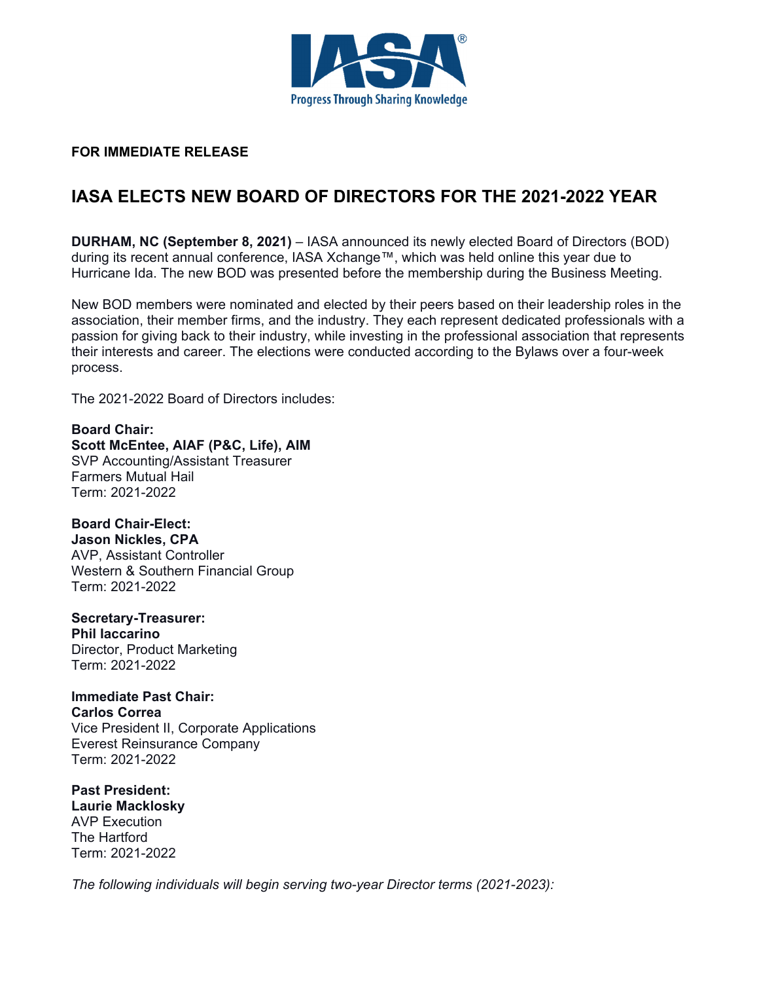

### **FOR IMMEDIATE RELEASE**

## **IASA ELECTS NEW BOARD OF DIRECTORS FOR THE 2021-2022 YEAR**

**DURHAM, NC (September 8, 2021)** – IASA announced its newly elected Board of Directors (BOD) during its recent annual conference, IASA Xchange™, which was held online this year due to Hurricane Ida. The new BOD was presented before the membership during the Business Meeting.

New BOD members were nominated and elected by their peers based on their leadership roles in the association, their member firms, and the industry. They each represent dedicated professionals with a passion for giving back to their industry, while investing in the professional association that represents their interests and career. The elections were conducted according to the Bylaws over a four-week process.

The 2021-2022 Board of Directors includes:

#### **Board Chair:**

# **Scott McEntee, AIAF (P&C, Life), AIM**

SVP Accounting/Assistant Treasurer Farmers Mutual Hail Term: 2021-2022

### **Board Chair-Elect:**

**Jason Nickles, CPA** AVP, Assistant Controller Western & Southern Financial Group Term: 2021-2022

### **Secretary-Treasurer:**

**Phil Iaccarino**  Director, Product Marketing Term: 2021-2022

### **Immediate Past Chair:**

**Carlos Correa**  Vice President II, Corporate Applications Everest Reinsurance Company Term: 2021-2022

### **Past President: Laurie Macklosky**  AVP Execution The Hartford Term: 2021-2022

*The following individuals will begin serving two-year Director terms (2021-2023):*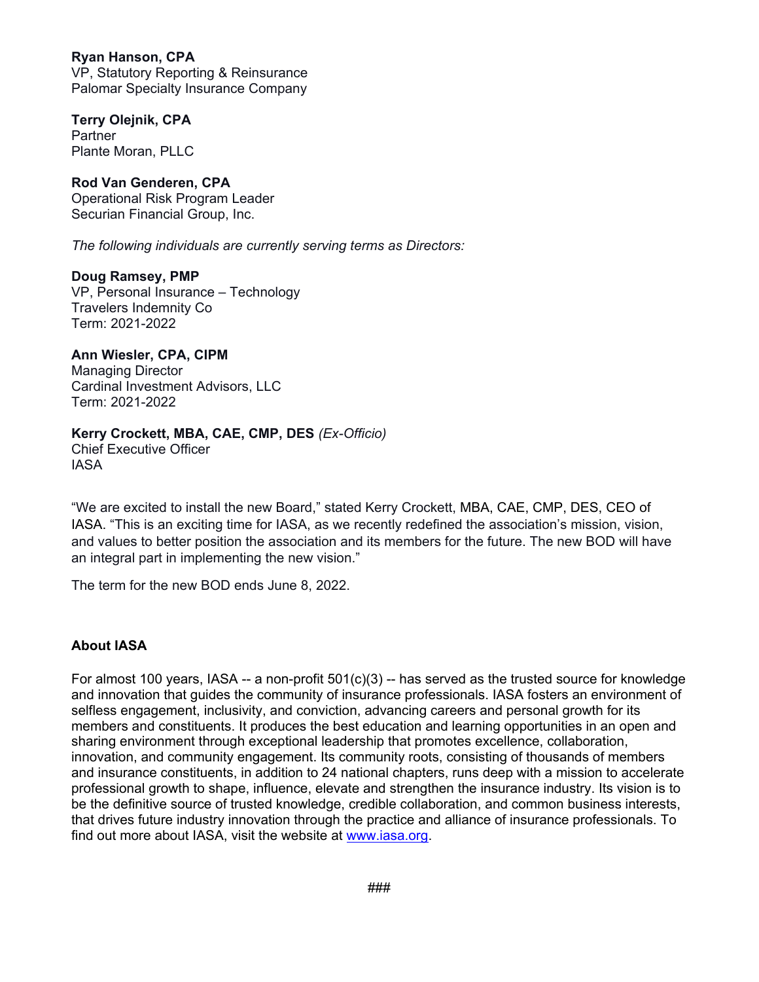**Ryan Hanson, CPA**  VP, Statutory Reporting & Reinsurance Palomar Specialty Insurance Company

**Terry Olejnik, CPA Partner** Plante Moran, PLLC

#### **Rod Van Genderen, CPA**  Operational Risk Program Leader Securian Financial Group, Inc.

*The following individuals are currently serving terms as Directors:* 

**Doug Ramsey, PMP**  VP, Personal Insurance – Technology Travelers Indemnity Co Term: 2021-2022

**Ann Wiesler, CPA, CIPM**  Managing Director Cardinal Investment Advisors, LLC Term: 2021-2022

### **Kerry Crockett, MBA, CAE, CMP, DES** *(Ex-Officio)*

Chief Executive Officer IASA

"We are excited to install the new Board," stated Kerry Crockett, MBA, CAE, CMP, DES, CEO of IASA. "This is an exciting time for IASA, as we recently redefined the association's mission, vision, and values to better position the association and its members for the future. The new BOD will have an integral part in implementing the new vision."

The term for the new BOD ends June 8, 2022.

### **About IASA**

For almost 100 years, IASA -- a non-profit  $501(c)(3)$  -- has served as the trusted source for knowledge and innovation that guides the community of insurance professionals. IASA fosters an environment of selfless engagement, inclusivity, and conviction, advancing careers and personal growth for its members and constituents. It produces the best education and learning opportunities in an open and sharing environment through exceptional leadership that promotes excellence, collaboration, innovation, and community engagement. Its community roots, consisting of thousands of members and insurance constituents, in addition to 24 national chapters, runs deep with a mission to accelerate professional growth to shape, influence, elevate and strengthen the insurance industry. Its vision is to be the definitive source of trusted knowledge, credible collaboration, and common business interests, that drives future industry innovation through the practice and alliance of insurance professionals. To find out more about IASA, visit the website at www.iasa.org.